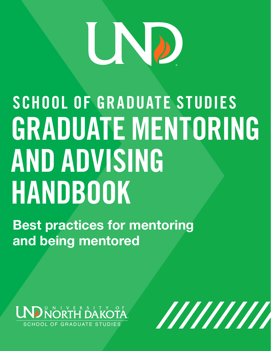# 

# SCHOOL OF GRADUATE STUDIES GRADUATE MENTORING AND ADVISING HANDBOOK

Best practices for mentoring and being mentored



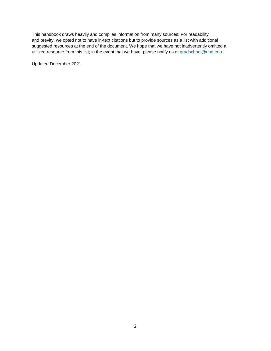This handbook draws heavily and compiles information from many sources: For readability and brevity, we opted not to have in-text citations but to provide sources as a list with additional suggested resources at the end of the document. We hope that we have not inadvertently omitted a utilized resource from this list; in the event that we have, please notify us at [gradschool@und.edu.](mailto:gradschool@und.edu)

Updated December 2021.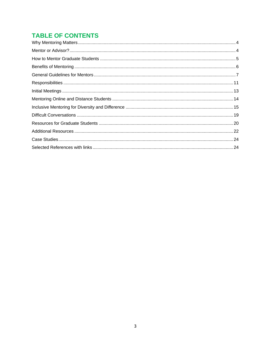# **TABLE OF CONTENTS**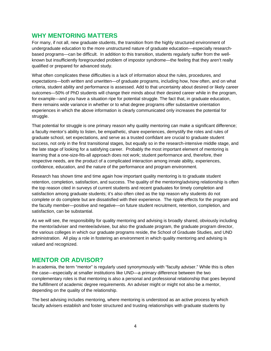# <span id="page-3-0"></span>**WHY MENTORING MATTERS**

For many, if not all, new graduate students, the transition from the highly structured environment of undergraduate education to the more unstructured nature of graduate education—especially researchbased programs—can be difficult. In addition to this transition, students regularly suffer from the wellknown but insufficiently foregrounded problem of impostor syndrome—the feeling that they aren't really qualified or prepared for advanced study.

What often complicates these difficulties is a lack of information about the rules, procedures, and expectations—both written and unwritten—of graduate programs, including how, how often, and on what criteria, student ability and performance is assessed. Add to that uncertainty about desired or likely career outcomes—50% of PhD students will change their minds about their desired career while in the program, for example—and you have a situation ripe for potential struggle. The fact that, in graduate education, there remains wide variance in whether or to what degree programs offer substantive orientation experiences in which the above information is clearly communicated only increases the potential for struggle.

That potential for struggle is one primary reason why quality mentoring can make a significant difference; a faculty mentor's ability to listen, be empathetic, share experiences, demystify the roles and rules of graduate school, set expectations, and serve as a trusted confidant are crucial to graduate student success, not only in the first transitional stages, but equally so in the research-intensive middle stage, and the late stage of looking for a satisfying career. Probably the most important element of mentoring is learning that a one-size-fits-all approach does not work; student performance and, therefore, their respective needs, are the product of a complicated interaction among innate ability, experiences, confidence, education, and the nature of the performance and program environment.

Research has shown time and time again how important quality mentoring is to graduate student retention, completion, satisfaction, and success. The quality of the mentoring/advising relationship is often the top reason cited in surveys of current students and recent graduates for timely completion and satisfaction among graduate students; it's also often cited as the top reason why students do not complete or do complete but are dissatisfied with their experience. The ripple effects for the program and the faculty member—positive and negative—on future student recruitment, retention, completion, and satisfaction, can be substantial.

As we will see, the responsibility for quality mentoring and advising is broadly shared, obviously including the mentor/adviser and mentee/advisee, but also the graduate program, the graduate program director, the various colleges in which our graduate programs reside, the School of Graduate Studies, and UND administration. All play a role in fostering an environment in which quality mentoring and advising is valued and recognized.

# <span id="page-3-1"></span>**MENTOR OR ADVISOR?**

In academia, the term "mentor" is regularly used synonymously with "faculty adviser." While this is often the case—especially at smaller institutions like UND—a primary difference between the two complementary roles is that mentoring is also a personal and professional relationship that goes beyond the fulfillment of academic degree requirements. An adviser might or might not also be a mentor, depending on the quality of the relationship.

The best advising includes mentoring, where mentoring is understood as an active process by which faculty advisers establish and foster structured and trusting relationships with graduate students by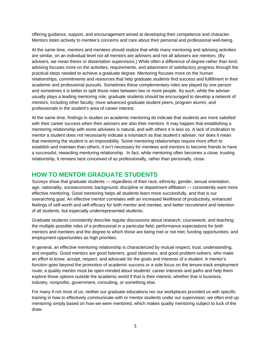offering guidance, support, and encouragement aimed at developing their competence and character. Mentors listen actively to mentee's concerns and care about their personal and professional well-being.

At the same time, mentors and mentees should realize that while many mentoring and advising activities are similar, on an individual level not all mentors are advisers and not all advisers are mentors. (By advisers, we mean thesis or dissertation supervisors.) While often a difference of degree rather than kind, advising focuses more on the activities, requirements, and attainment of satisfactory progress through the practical steps needed to achieve a graduate degree. Mentoring focuses more on the human relationships, commitments and resources that help graduate students find success and fulfillment in their academic and professional pursuits. Sometimes these complementary roles are played by one person and sometimes it is better to split those roles between two or more people. As such, while the adviser usually plays a leading mentoring role, graduate students should be encouraged to develop a network of mentors, including other faculty, more advanced graduate student peers, program alumni, and professionals in the student's area of career interest.

At the same time, findings in studies on academic mentoring do indicate that students are more satisfied with their career success when their advisers are also their mentors. It may happen that establishing a mentoring relationship with some advisees is natural, and with others it is less so. A lack of inclination to mentor a student does not necessarily indicate a mismatch as that student's adviser, nor does it mean that mentoring the student is an impossibility. Some mentoring relationships require more effort to establish and maintain than others; it isn't necessary for mentees and mentors to become friends to have a successful, rewarding mentoring relationship. In fact, while mentoring often becomes a close, trusting relationship, it remains best conceived of as professionally, rather than personally, close.

# <span id="page-4-0"></span>**HOW TO MENTOR GRADUATE STUDENTS**

Surveys show that graduate students — regardless of their race, ethnicity, gender, sexual orientation, age, nationality, socioeconomic background, discipline or department affiliation — consistently want more effective mentoring. Good mentoring helps all students learn more successfully, and that is our overarching goal. An effective mentor correlates with an increased likelihood of productivity, enhanced feelings of self-worth and self-efficacy for both mentor and mentee, and better recruitment and retention of all students, but especially underrepresented students.

Graduate students consistently describe regular discussions about research, coursework, and teaching; the multiple possible roles of a professional in a particular field; performance expectations for both mentors and mentees and the degree to which those are being met or not met; funding opportunities; and employment opportunities as high priorities.

In general, an effective mentoring relationship is characterized by mutual respect, trust, understanding, and empathy. Good mentors are good listeners, good observers, and good problem-solvers, who make an effort to know, accept, respect, and advocate for the goals and interests of a student. A mentor's function goes beyond the promotion of academic success or a sole focus on the tenure-track employment route; a quality mentor must be open-minded about students' career interests and paths and help them explore those options outside the academic world if that is their interest, whether that is business, industry, nonprofits, government, consulting, or something else.

For many if not most of us, neither our graduate educations nor our workplaces provided us with specific training in how to effectively communicate with or mentor students under our supervision; we often end up mentoring simply based on how we were mentored, which makes quality mentoring subject to luck of the draw.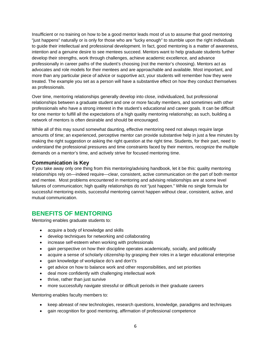Insufficient or no training on how to be a good mentor leads most of us to assume that good mentoring "just happens" naturally or is only for those who are "lucky enough" to stumble upon the right individuals to guide their intellectual and professional development. In fact, good mentoring is a matter of awareness, intention and a genuine desire to see mentees succeed. Mentors want to help graduate students further develop their strengths, work through challenges, achieve academic excellence, and advance professionally in career paths of the student's choosing (not the mentor's choosing). Mentors act as advocates and role models for their mentees and are approachable and available. Most important, and more than any particular piece of advice or supportive act, your students will remember how they were treated. The example you set as a person will have a substantive effect on how they conduct themselves as professionals.

Over time, mentoring relationships generally develop into close, individualized, but professional relationships between a graduate student and one or more faculty members, and sometimes with other professionals who have a strong interest in the student's educational and career goals. It can be difficult for one mentor to fulfill all the expectations of a high quality mentoring relationship; as such, building a network of mentors is often desirable and should be encouraged.

While all of this may sound somewhat daunting, effective mentoring need not always require large amounts of time; an experienced, perceptive mentor can provide substantive help in just a few minutes by making the right suggestion or asking the right question at the right time. Students, for their part, need to understand the professional pressures and time constraints faced by their mentors, recognize the multiple demands on a mentor's time, and actively strive for focused mentoring time.

#### **Communication is Key**

If you take away only one thing from this mentoring/advising handbook, let it be this: quality mentoring relationships rely on—indeed require—clear, consistent, active communication on the part of both mentor and mentee. Most problems encountered in mentoring and advising relationships are at some level failures of communication; high quality relationships do not "just happen." While no single formula for successful mentoring exists, successful mentoring cannot happen without clear, consistent, active, and mutual communication.

# <span id="page-5-0"></span>**BENEFITS OF MENTORING**

Mentoring enables graduate students to:

- acquire a body of knowledge and skills
- develop techniques for networking and collaborating
- increase self-esteem when working with professionals
- gain perspective on how their discipline operates academically, socially, and politically
- acquire a sense of scholarly citizenship by grasping their roles in a larger educational enterprise
- gain knowledge of workplace do's and don't's
- get advice on how to balance work and other responsibilities, and set priorities
- deal more confidently with challenging intellectual work
- thrive, rather than just survive
- more successfully navigate stressful or difficult periods in their graduate careers

Mentoring enables faculty members to:

- keep abreast of new technologies, research questions, knowledge, paradigms and techniques
- gain recognition for good mentoring, affirmation of professional competence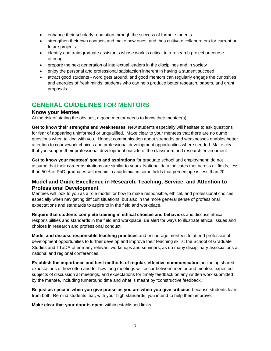- enhance their scholarly reputation through the success of former students
- strengthen their own contacts and make new ones, and thus cultivate collaborators for current or future projects
- identify and train graduate assistants whose work is critical to a research project or course offering
- prepare the next generation of intellectual leaders in the disciplines and in society
- enjoy the personal and professional satisfaction inherent in having a student succeed
- attract good students word gets around, and good mentors can regularly engage the curiosities and energies of fresh minds: students who can help produce better research, papers, and grant proposals

# <span id="page-6-0"></span>**GENERAL GUIDELINES FOR MENTORS**

#### **Know your Mentee**

At the risk of stating the obvious, a good mentor needs to know their mentee(s).

**Get to know their strengths and weaknesses**. New students especially will hesitate to ask questions for fear of appearing uninformed or unqualified. Make clear to your mentees that there are no dumb questions when talking with you. Honest communication about strengths and weaknesses enables better attention to coursework choices and professional development opportunities where needed. Make clear that you support their professional development outside of the classroom and research environment.

**Get to know your mentees' goals and aspirations** for graduate school and employment; do not assume that their career aspirations are similar to yours. National data indicates that across all fields, less than 50% of PhD graduates will remain in academia; in some fields that percentage is less than 20.

#### **Model and Guide Excellence in Research, Teaching, Service, and Attention to Professional Development**

Mentees will look to you as a role model for how to make responsible, ethical, and professional choices, especially when navigating difficult situations, but also in the more general sense of professional expectations and standards to aspire to in the field and workplace.

**Require that students complete training in ethical choices and behaviors** and discuss ethical responsibilities and standards in the field and workplace. Be alert for ways to illustrate ethical issues and choices in research and professional conduct.

**Model and discuss responsible teaching practices** and encourage mentees to attend professional development opportunities to further develop and improve their teaching skills; the School of Graduate Studies and TTaDA offer many relevant workshops and seminars, as do many disciplinary associations at national and regional conferences

**Establish the importance and best methods of regular, effective communication**, including shared expectations of how often and for how long meetings will occur between mentor and mentee, expected subjects of discussion at meetings, and expectations for timely feedback on any written work submitted by the mentee, including turnaround time and what is meant by "constructive feedback."

**Be just as specific when you give praise as you are when you give criticism** because students learn from both. Remind students that, with your high standards, you intend to help them improve.

**Make clear that your door is open**, within established limits.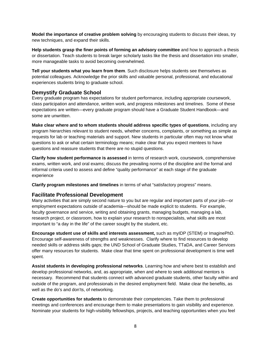**Model the importance of creative problem solving** by encouraging students to discuss their ideas, try new techniques, and expand their skills.

**Help students grasp the finer points of forming an advisory committee** and how to approach a thesis or dissertation. Teach students to break larger scholarly tasks like the thesis and dissertation into smaller, more manageable tasks to avoid becoming overwhelmed.

**Tell your students what you learn from them**. Such disclosure helps students see themselves as potential colleagues. Acknowledge the prior skills and valuable personal, professional, and educational experiences students bring to graduate school.

# **Demystify Graduate School**

Every graduate program has expectations for student performance, including appropriate coursework, class participation and attendance, written work, and progress milestones and timelines. Some of these expectations are written—every graduate program should have a Graduate Student Handbook—and some are unwritten.

**Make clear where and to whom students should address specific types of questions**, including any program hierarchies relevant to student needs, whether concerns, complaints, or something as simple as requests for lab or teaching materials and support. New students in particular often may not know what questions to ask or what certain terminology means; make clear that you expect mentees to have questions and reassure students that there are no stupid questions.

**Clarify how student performance is assessed** in terms of research work, coursework, comprehensive exams, written work, and oral exams; discuss the prevailing norms of the discipline and the formal and informal criteria used to assess and define "quality performance" at each stage of the graduate experience

**Clarify program milestones and timelines** in terms of what "satisfactory progress" means.

#### **Facilitate Professional Development**

Many activities that are simply second nature to you but are regular and important parts of your job—or employment expectations outside of academia—should be made explicit to students. For example, faculty governance and service, writing and obtaining grants, managing budgets, managing a lab, research project, or classroom, how to explain your research to nonspecialists, what skills are most important to "a day in the life" of the career sought by the student, etc.

**Encourage student use of skills and interests assessment,** such as myIDP (STEM) or ImaginePhD. Encourage self-awareness of strengths and weaknesses. Clarify where to find resources to develop needed skills or address skills gaps; the UND School of Graduate Studies, TTaDA, and Career Services offer many resources for students. Make clear that time spent on professional development is time well spent.

**Assist students in developing professional networks**. Learning how and where best to establish and develop professional networks, and, as appropriate, when and where to seek additional mentors is necessary. Recommend that students connect with advanced graduate students, other faculty within and outside of the program, and professionals in the desired employment field. Make clear the benefits, as well as the do's and don'ts, of networking.

**Create opportunities for students** to demonstrate their competencies. Take them to professional meetings and conferences and encourage them to make presentations to gain visibility and experience. Nominate your students for high-visibility fellowships, projects, and teaching opportunities when you feel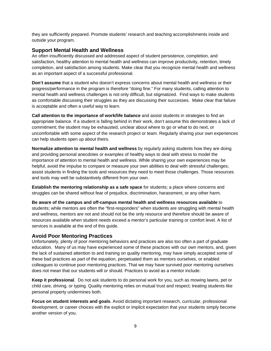they are sufficiently prepared. Promote students' research and teaching accomplishments inside and outside your program.

### **Support Mental Health and Wellness**

An often insufficiently discussed and addressed aspect of student persistence, completion, and satisfaction, healthy attention to mental health and wellness can improve productivity, retention, timely completion, and satisfaction among students. Make clear that you recognize mental health and wellness as an important aspect of a successful professional.

**Don't assume** that a student who doesn't express concerns about mental health and wellness or their progress/performance in the program is therefore "doing fine." For many students, calling attention to mental health and wellness challenges is not only difficult, but stigmatized. Find ways to make students as comfortable discussing their struggles as they are discussing their successes. Make clear that failure is acceptable and often a useful way to learn.

**Call attention to the importance of work/life balance** and assist students in strategies to find an appropriate balance. If a student is falling behind in their work, don't assume this demonstrates a lack of commitment; the student may be exhausted, unclear about where to go or what to do next, or uncomfortable with some aspect of the research project or team. Regularly sharing your own experiences can help students open up about theirs.

**Normalize attention to mental health and wellness** by regularly asking students how they are doing and providing personal anecdotes or examples of healthy ways to deal with stress to model the importance of attention to mental health and wellness. While sharing your own experiences may be helpful, avoid the impulse to compare or measure your own abilities to deal with stressful challenges; assist students in finding the tools and resources they need to meet those challenges. Those resources and tools may well be substantively different from your own.

**Establish the mentoring relationship as a safe space** for students; a place where concerns and struggles can be shared without fear of prejudice, discrimination, harassment, or any other harm.

**Be aware of the campus and off-campus mental health and wellness resources available** to students; while mentors are often the "first-responders" when students are struggling with mental health and wellness, mentors are not and should not be the only resource and therefore should be aware of resources available when student needs exceed a mentor's particular training or comfort level. A list of services is available at the end of this guide.

# **Avoid Poor Mentoring Practices**

Unfortunately, plenty of poor mentoring behaviors and practices are also too often a part of graduate education. Many of us may have experienced some of these practices with our own mentors, and, given the lack of sustained attention to and training on quality mentoring, may have simply accepted some of these bad practices as part of the equation, perpetuated them as mentors ourselves, or enabled colleagues to continue poor mentoring practices. That we may have survived poor mentoring ourselves does not mean that our students will or should. Practices to avoid as a mentor include:

**Keep it professional**. Do not ask students to do personal work for you, such as mowing lawns, pet or child care, driving, or typing. Quality mentoring relies on mutual trust and respect; treating students like personal property undermines both.

**Focus on student interests and goals**. Avoid dictating important research, curricular, professional development, or career choices with the explicit or implicit expectation that your students simply become another version of you.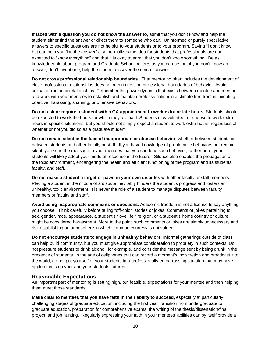**If faced with a question you do not know the answer to**, admit that you don't know and help the student either find the answer or direct them to someone who can. Uninformed or purely speculative answers to specific questions are not helpful to your students or to your program. Saying "I don't know, but can help you find the answer" also normalizes the idea for students that professionals are not expected to "know everything" and that it is okay to admit that you don't know something. Be as knowledgeable about program and Graduate School policies as you can be, but if you don't know an answer, don't invent one; help the student discover the correct answer.

**Do not cross professional relationship boundaries**. That mentoring often includes the development of close professional relationships does not mean crossing professional boundaries of behavior. Avoid sexual or romantic relationships. Remember the power dynamic that exists between mentee and mentor and work with your mentees to establish and maintain professionalism in a climate free from intimidating, coercive, harassing, shaming, or offensive behaviors.

**Do not ask or require a student with a GA appointment to work extra or late hours.** Students should be expected to work the hours for which they are paid. Students may volunteer or choose to work extra hours in specific situations, but you should not simply expect a student to work extra hours, regardless of whether or not you did so as a graduate student.

**Do not remain silent in the face of inappropriate or abusive behavior**, whether between students or between students and other faculty or staff. If you have knowledge of problematic behaviors but remain silent, you send the message to your mentees that you condone such behavior; furthermore, your students will likely adopt your mode of response in the future. Silence also enables the propagation of the toxic environment, endangering the health and efficient functioning of the program and its students, faculty, and staff.

**Do not make a student a target or pawn in your own disputes** with other faculty or staff members. Placing a student in the middle of a dispute inevitably hinders the student's progress and fosters an unhealthy, toxic environment. It is never the role of a student to manage disputes between faculty members or faculty and staff.

**Avoid using inappropriate comments or questions**. Academic freedom is not a license to say anything you choose. Think carefully before telling "off-color" stories or jokes. Comments or jokes pertaining to sex, gender, race, appearance, a student's "love life," religion, or a student's home country or culture might be considered harassment. More to the point, such comments or jokes are simply unnecessary and risk establishing an atmosphere in which common courtesy is not valued.

**Do not encourage students to engage in unhealthy behaviors**. Informal gatherings outside of class can help build community, but you must give appropriate consideration to propriety in such contexts. Do not pressure students to drink alcohol, for example, and consider the message sent by being drunk in the presence of students. In the age of cellphones that can record a moment's indiscretion and broadcast it to the world, do not put yourself or your students in a professionally embarrassing situation that may have ripple effects on your and your students' futures.

#### **Reasonable Expectations**

An important part of mentoring is setting high, but feasible, expectations for your mentee and then helping them meet those standards.

**Make clear to mentees that you have faith in their ability to succeed**, especially at particularly challenging stages of graduate education, including the first year transition from undergraduate to graduate education, preparation for comprehensive exams, the writing of the thesis/dissertation/final project, and job hunting. Regularly expressing your faith in your mentees' abilities can by itself provide a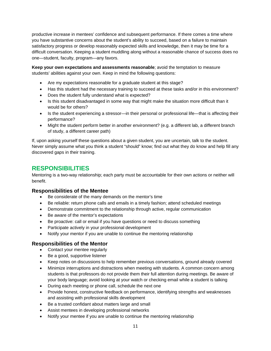productive increase in mentees' confidence and subsequent performance. If there comes a time where you have substantive concerns about the student's ability to succeed, based on a failure to maintain satisfactory progress or develop reasonably expected skills and knowledge, then it may be time for a difficult conversation. Keeping a student muddling along without a reasonable chance of success does no one—student, faculty, program—any favors.

**Keep your own expectations and assessments reasonable**; avoid the temptation to measure students' abilities against your own. Keep in mind the following questions:

- Are my expectations reasonable for a graduate student at this stage?
- Has this student had the necessary training to succeed at these tasks and/or in this environment?
- Does the student fully understand what is expected?
- Is this student disadvantaged in some way that might make the situation more difficult than it would be for others?
- Is the student experiencing a stressor—in their personal or professional life—that is affecting their performance?
- Might the student perform better in another environment? (e.g. a different lab, a different branch of study, a different career path)

If, upon asking yourself these questions about a given student, you are uncertain, talk to the student. Never simply assume what you think a student "should" know; find out what they do know and help fill any discovered gaps in their training.

# <span id="page-10-0"></span>**RESPONSIBILITIES**

Mentoring is a two-way relationship; each party must be accountable for their own actions or neither will benefit.

#### **Responsibilities of the Mentee**

- Be considerate of the many demands on the mentor's time
- Be reliable: return phone calls and emails in a timely fashion; attend scheduled meetings
- Demonstrate commitment to the relationship through active, regular communication
- Be aware of the mentor's expectations
- Be proactive: call or email if you have questions or need to discuss something
- Participate actively in your professional development
- Notify your mentor if you are unable to continue the mentoring relationship

# **Responsibilities of the Mentor**

- Contact your mentee regularly
- Be a good, supportive listener
- Keep notes on discussions to help remember previous conversations, ground already covered
- Minimize interruptions and distractions when meeting with students. A common concern among students is that professors do not provide them their full attention during meetings. Be aware of your body language; avoid looking at your watch or checking email while a student is talking
- During each meeting or phone call, schedule the next one
- Provide honest, constructive feedback on performance, identifying strengths and weaknesses and assisting with professional skills development
- Be a trusted confidant about matters large and small
- Assist mentees in developing professional networks
- Notify your mentee if you are unable to continue the mentoring relationship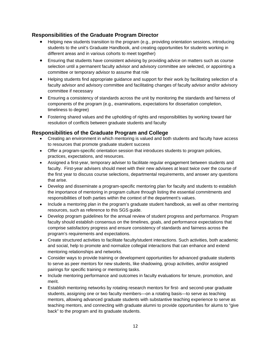# **Responsibilities of the Graduate Program Director**

- Helping new students transition to the program (e.g., providing orientation sessions, introducing students to the unit's Graduate Handbook, and creating opportunities for students working in different areas and in various cohorts to meet together)
- Ensuring that students have consistent advising by providing advice on matters such as course selection until a permanent faculty advisor and advisory committee are selected, or appointing a committee or temporary advisor to assume that role
- Helping students find appropriate guidance and support for their work by facilitating selection of a faculty advisor and advisory committee and facilitating changes of faculty advisor and/or advisory committee if necessary
- Ensuring a consistency of standards across the unit by monitoring the standards and fairness of components of the program (e.g., examinations, expectations for dissertation completion, timeliness to degree)
- Fostering shared values and the upholding of rights and responsibilities by working toward fair resolution of conflicts between graduate students and faculty

# **Responsibilities of the Graduate Program and College**

- Creating an environment in which mentoring is valued and both students and faculty have access to resources that promote graduate student success
- Offer a program-specific orientation session that introduces students to program policies, practices, expectations, and resources.
- Assigned a first-year, temporary adviser to facilitate regular engagement between students and faculty. First-year advisers should meet with their new advisees at least twice over the course of the first year to discuss course selections, departmental requirements, and answer any questions that arise.
- Develop and disseminate a program-specific mentoring plan for faculty and students to establish the importance of mentoring in program culture through listing the essential commitments and responsibilities of both parties within the context of the department's values.
- Include a mentoring plan in the program's graduate student handbook, as well as other mentoring resources, such as reference to this SGS guide.
- Develop program guidelines for the annual review of student progress and performance. Program faculty should establish consensus on the timelines, goals, and performance expectations that comprise satisfactory progress and ensure consistency of standards and fairness across the program's requirements and expectations.
- Create structured activities to facilitate faculty/student interactions. Such activities, both academic and social, help to promote and normalize collegial interactions that can enhance and extend mentoring relationships and networks.
- Consider ways to provide training or development opportunities for advanced graduate students to serve as peer mentors for new students, like shadowing, group activities, and/or assigned pairings for specific training or mentoring tasks.
- Include mentoring performance and outcomes in faculty evaluations for tenure, promotion, and merit.
- Establish mentoring networks by rotating research mentors for first- and second-year graduate students, assigning one or two faculty members—on a rotating basis—to serve as teaching mentors, allowing advanced graduate students with substantive teaching experience to serve as teaching mentors, and connecting with graduate alumni to provide opportunities for alums to "give back" to the program and its graduate students.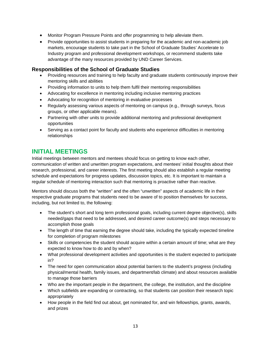- Monitor Program Pressure Points and offer programming to help alleviate them.
- Provide opportunities to assist students in preparing for the academic and non-academic job markets, encourage students to take part in the School of Graduate Studies' Accelerate to Industry program and professional development workshops, or recommend students take advantage of the many resources provided by UND Career Services.

#### **Responsibilities of the School of Graduate Studies**

- Providing resources and training to help faculty and graduate students continuously improve their mentoring skills and abilities
- Providing information to units to help them fulfil their mentoring responsibilities
- Advocating for excellence in mentoring including inclusive mentoring practices
- Advocating for recognition of mentoring in evaluative processes
- Regularly assessing various aspects of mentoring on campus (e.g., through surveys, focus groups, or other applicable means).
- Partnering with other units to provide additional mentoring and professional development opportunities
- Serving as a contact point for faculty and students who experience difficulties in mentoring relationships

# <span id="page-12-0"></span>**INITIAL MEETINGS**

Initial meetings between mentors and mentees should focus on getting to know each other, communication of written and unwritten program expectations, and mentees' initial thoughts about their research, professional, and career interests. The first meeting should also establish a regular meeting schedule and expectations for progress updates, discussion topics, etc. It is important to maintain a regular schedule of mentoring interaction such that mentoring is proactive rather than reactive.

Mentors should discuss both the "written" and the often "unwritten" aspects of academic life in their respective graduate programs that students need to be aware of to position themselves for success, including, but not limited to, the following:

- The student's short and long term professional goals, including current degree objective(s), skills needed/gaps that need to be addressed, and desired career outcome(s) and steps necessary to accomplish those goals
- The length of time that earning the degree should take, including the typically expected timeline for completion of program milestones
- Skills or competencies the student should acquire within a certain amount of time; what are they expected to know how to do and by when?
- What professional development activities and opportunities is the student expected to participate in?
- The need for open communication about potential barriers to the student's progress (including physical/mental health, family issues, and department/lab climate) and about resources available to manage those barriers
- Who are the important people in the department, the college, the institution, and the discipline
- Which subfields are expanding or contracting, so that students can position their research topic appropriately
- How people in the field find out about, get nominated for, and win fellowships, grants, awards, and prizes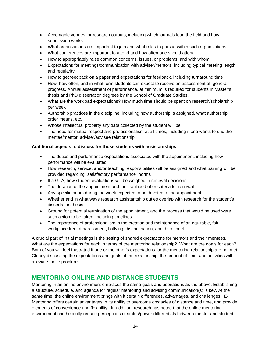- Acceptable venues for research outputs, including which journals lead the field and how submission works
- What organizations are important to join and what roles to pursue within such organizations
- What conferences are important to attend and how often one should attend
- How to appropriately raise common concerns, issues, or problems, and with whom
- Expectations for meetings/communication with adviser/mentors, including typical meeting length and regularity
- How to get feedback on a paper and expectations for feedback, including turnaround time
- How, how often, and in what form students can expect to receive an assessment of general progress. Annual assessment of performance, at minimum is required for students in Master's thesis and PhD dissertation degrees by the School of Graduate Studies.
- What are the workload expectations? How much time should be spent on research/scholarship per week?
- Authorship practices in the discipline, including how authorship is assigned, what authorship order means, etc.
- Whose intellectual property any data collected by the student will be
- The need for mutual respect and professionalism at all times, including if one wants to end the mentee/mentor, adviser/advisee relationship

#### **Additional aspects to discuss for those students with assistantships**:

- The duties and performance expectations associated with the appointment, including how performance will be evaluated
- How research, service, and/or teaching responsibilities will be assigned and what training will be provided regarding "satisfactory performance" norms
- If a GTA, how student evaluations will be weighed in renewal decisions
- The duration of the appointment and the likelihood of or criteria for renewal
- Any specific hours during the week expected to be devoted to the appointment
- Whether and in what ways research assistantship duties overlap with research for the student's dissertation/thesis
- Ground for potential termination of the appointment, and the process that would be used were such action to be taken, including timelines
- The importance of professionalism in the creation and maintenance of an equitable, fair workplace free of harassment, bullying, discrimination, and disrespect

A crucial part of initial meetings is the setting of shared expectations for mentors and their mentees. What are the expectations for each in terms of the mentoring relationship? What are the goals for each? Both of you will feel frustrated if one or the other's expectations for the mentoring relationship are not met. Clearly discussing the expectations and goals of the relationship, the amount of time, and activities will alleviate these problems.

# <span id="page-13-0"></span>**MENTORING ONLINE AND DISTANCE STUDENTS**

Mentoring in an online environment embraces the same goals and aspirations as the above. Establishing a structure, schedule, and agenda for regular mentoring and advising communication(s) is key. At the same time, the online environment brings with it certain differences, advantages, and challenges. E-Mentoring offers certain advantages in its ability to overcome obstacles of distance and time, and provide elements of convenience and flexibility. In addition, research has noted that the online mentoring environment can helpfully reduce perceptions of status/power differentials between mentor and student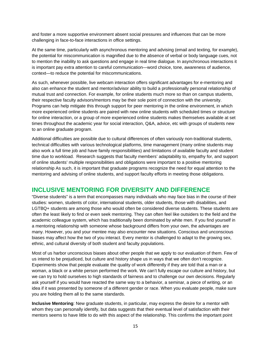and foster a more supportive environment absent social pressures and influences that can be more challenging in face-to-face interactions in office settings.

At the same time, particularly with asynchronous mentoring and advising (email and texting, for example), the potential for miscommunication is magnified due to the absence of verbal or body language cues, not to mention the inability to ask questions and engage in real time dialogue. In asynchronous interactions it is important pay extra attention to careful communication—word choice, tone, awareness of audience, context—to reduce the potential for miscommunications.

As such, whenever possible, live webcam interaction offers significant advantages for e-mentoring and also can enhance the student and mentor/advisor ability to build a professionally personal relationship of mutual trust and connection. For example, for online students much more so than on campus students, their respective faculty advisors/mentors may be their sole point of connection with the university. Programs can help mitigate this through support for peer mentoring in the online environment, in which more experienced online students are paired with new online students with scheduled times or structure for online interaction, or a group of more experienced online students makes themselves available at set times throughout the academic year for social interaction, Q&A, advice, etc with groups of students new to an online graduate program.

Additional difficulties are possible due to cultural differences of often variously non-traditional students, technical difficulties with various technological platforms, time management (many online students may also work a full time job and have family responsibilities) and limitations of available faculty and student time due to workload. Research suggests that faculty members' adaptability to, empathy for, and support of online students' multiple responsibilities and obligations were important to a positive mentoring relationship As such, it is important that graduate programs recognize the need for equal attention to the mentoring and advising of online students, and support faculty efforts in meeting those obligations.

# <span id="page-14-0"></span>**INCLUSIVE MENTORING FOR DIVERSITY AND DIFFERENCE**

"Diverse students" is a term that encompasses many individuals who may face bias in the course of their studies: women, students of color, international students, older students, those with disabilities, and LGTBQ+ students are among those who would often be considered diverse students. These students are often the least likely to find or even seek mentoring. They can often feel like outsiders to the field and the academic colleague system, which has traditionally been dominated by white men. If you find yourself in a mentoring relationship with someone whose background differs from your own, the advantages are many. However, you and your mentee may also encounter new situations. Conscious and unconscious biases may affect how the two of you interact. Every mentor is challenged to adapt to the growing sex, ethnic, and cultural diversity of both student and faculty populations.

Most of us harbor unconscious biases about other people that we apply to our evaluation of them. Few of us intend to be prejudiced, but culture and history shape us in ways that we often don't recognize. Experiments show that people evaluate the quality of work differently if they are told that a man or a woman, a black or a white person performed the work. We can't fully escape our culture and history, but we can try to hold ourselves to high standards of fairness and to challenge our own decisions. Regularly ask yourself if you would have reacted the same way to a behavior, a seminar, a piece of writing, or an idea if it was presented by someone of a different gender or race. When you evaluate people, make sure you are holding them all to the same standards.

**Inclusive Mentoring**: New graduate students, in particular, may express the desire for a mentor with whom they can personally identify, but data suggests that their eventual level of satisfaction with their mentors seems to have little to do with this aspect of the relationship. This confirms the important point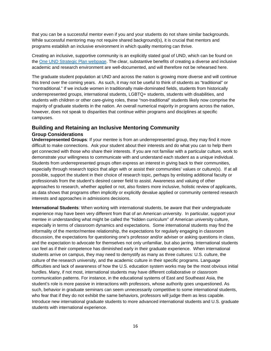that you can be a successful mentor even if you and your students do not share similar backgrounds. While successful mentoring may not require shared background(s), it is crucial that mentors and programs establish an inclusive environment in which quality mentoring can thrive.

Creating an inclusive, supportive community is an explicitly stated goal of UND, which can be found on the [One UND Strategic Plan webpage.](https://und.edu/about/mission/goal-5.html) The clear, substantive benefits of creating a diverse and inclusive academic and research environment are well-documented, and will therefore not be rehearsed here.

The graduate student population at UND and across the nation is growing more diverse and will continue this trend over the coming years. As such, it may not be useful to think of students as "traditional" or "nontraditional." If we include women in traditionally male-dominated fields, students from historically underrepresented groups, international students, LGBTQ+ students, students with disabilities, and students with children or other care-giving roles, these "non-traditional" students likely now comprise the majority of graduate students in the nation. An overall numerical majority in programs across the nation, however, does not speak to disparities that continue within programs and disciplines at specific campuses.

### **Building and Retaining an Inclusive Mentoring Community**

#### **Group Considerations**

**Underrepresented Groups**: If your mentee is from an underrepresented group, they may find it more difficult to make connections. Ask your student about their interests and do what you can to help them get connected with those who share their interests. If you are not familiar with a particular culture, work to demonstrate your willingness to communicate with and understand each student as a unique individual. Students from underrepresented groups often express an interest in giving back to their communities, especially through research topics that align with or assist their communities' values or culture(s). If at all possible, support the student in their choice of research topic, perhaps by enlisting additional faculty or professionals from the student's desired career field to assist. Awareness and valuing of other approaches to research, whether applied or not, also fosters more inclusive, holistic review of applicants, as data shows that programs often implicitly or explicitly devalue applied or community centered research interests and approaches in admissions decisions.

**International Students**: When working with international students, be aware that their undergraduate experience may have been very different from that of an American university. In particular, support your mentee in understanding what might be called the "hidden curriculum" of American university culture, especially in terms of classroom dynamics and expectations. Some international students may find the informality of the mentor/mentee relationship, the expectations for regularly engaging in classroom discussion, the expectations for questioning one's professor and/or adviser or asking questions in class, and the expectation to advocate for themselves not only unfamiliar, but also jarring. International students can feel as if their competence has diminished early in their graduate experience. When international students arrive on campus, they may need to demystify as many as three cultures: U.S. culture, the culture of the research university, and the academic culture in their specific programs. Language difficulties and lack of awareness of how the U.S. education system works may be the most obvious initial hurdles. Many, if not most, international students may have different collaborative or classroom communication patterns. For instance, in the educational systems of East and Southeast Asia, the student's role is more passive in interactions with professors, whose authority goes unquestioned. As such, behavior in graduate seminars can seem unnecessarily competitive to some international students, who fear that if they do not exhibit the same behaviors, professors will judge them as less capable. Introduce new international graduate students to more advanced international students and U.S. graduate students with international experience.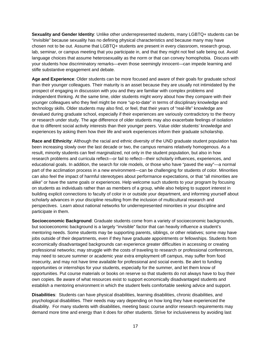**Sexuality and Gender Identity**: Unlike other underrepresented students, many LGBTQ+ students can be "invisible" because sexuality has no defining physical characteristics and because many may have chosen not to be out. Assume that LGBTQ+ students are present in every classroom, research group, lab, seminar, or campus meeting that you participate in, and that they might not feel safe being out. Avoid language choices that assume heterosexuality as the norm or that can convey homophobia. Discuss with your students how discriminatory remarks—even those seemingly innocent—can impede learning and stifle substantive engagement and debate.

**Age and Experience**: Older students can be more focused and aware of their goals for graduate school than their younger colleagues. Their maturity is an asset because they are usually not intimidated by the prospect of engaging in discussion with you and they are familiar with complex problems and independent thinking. At the same time, older students might worry about how they compare with their younger colleagues who they feel might be more "up-to-date" in terms of disciplinary knowledge and technology skills. Older students may also find, or feel, that their years of "real-life" knowledge are devalued during graduate school, especially if their experiences are variously contradictory to the theory or research under study. The age difference of older students may also exacerbate feelings of isolation due to different social activity interests than their younger peers. Value older students' knowledge and experiences by asking them how their life and work experiences inform their graduate scholarship.

**Race and Ethnicity**: Although the racial and ethnic diversity of the UND graduate student population has been increasing slowly over the last decade or two, the campus remains relatively homogenous. As a result, minority students can feel marginalized, not only in the student population, but also in how research problems and curricula reflect—or fail to reflect—their scholarly influences, experiences, and educational goals. In addition, the search for role models, or those who have "paved the way"—a normal part of the acclimation process in a new environment—can be challenging for students of color. Minorities can also feel the impact of harmful stereotypes about performance expectations, or that "all minorities are alike" or have the same goals or experiences. Help welcome such students to your program by focusing on students as individuals rather than as members of a group, while also helping to support interest in building explicit connections to faculty of color in or outside your department, and informing yourself about scholarly advances in your discipline resulting from the inclusion of multicultural research and perspectives. Learn about national networks for underrepresented minorities in your discipline and participate in them.

**Socioeconomic Background**: Graduate students come from a variety of socioeconomic backgrounds, but socioeconomic background is a largely "invisible" factor that can heavily influence a student's mentoring needs. Some students may be supporting parents, siblings, or other relatives; some may have jobs outside of their departments, even if they have graduate appointments or fellowships. Students from economically disadvantaged backgrounds can experience greater difficulties in accessing or creating professional networks; may struggle with the costs of traveling to research or professional conferences, may need to secure summer or academic year extra employment off campus, may suffer from food insecurity, and may not have time available for professional and social events. Be alert to funding opportunities or internships for your students, especially for the summer, and let them know of opportunities. Put course materials or books on reserve so that students do not always have to buy their own copies. Be aware of what resources exist to support economically disadvantaged students and establish a mentoring environment in which the student feels comfortable seeking advice and support.

**Disabilities**: Students can have physical disabilities, learning disabilities, chronic disabilities, and psychological disabilities. Their needs may vary depending on how long they have experienced the disability. For many students with disabilities, meeting basic course and/or research requirements may demand more time and energy than it does for other students. Strive for inclusiveness by avoiding last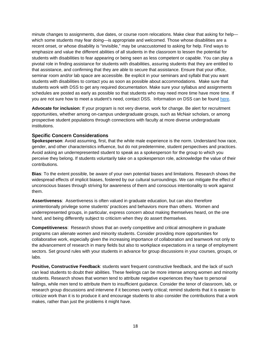minute changes to assignments, due dates, or course room relocations. Make clear that asking for help which some students may fear doing—is appropriate and welcomed. Those whose disabilities are a recent onset, or whose disability is "invisible," may be unaccustomed to asking for help. Find ways to emphasize and value the different abilities of all students in the classroom to lessen the potential for students with disabilities to fear appearing or being seen as less competent or capable. You can play a pivotal role in finding assistance for students with disabilities, assuring students that they are entitled to that assistance, and confirming that they are able to secure that assistance. Ensure that your office, seminar room and/or lab space are accessible. Be explicit in your seminars and syllabi that you want students with disabilities to contact you as soon as possible about accommodations. Make sure that students work with DSS to get any required documentation. Make sure your syllabus and assignments schedules are posted as early as possible so that students who may need more time have more time. If you are not sure how to meet a student's need, contact DSS. Information on DSS can be found [here.](https://und.edu/student-life/disability-services/)

**Advocate for inclusion**: If your program is not very diverse, work for change. Be alert for recruitment opportunities, whether among on-campus undergraduate groups, such as McNair scholars, or among prospective student populations through connections with faculty at more diverse undergraduate institutions.

#### **Specific Concern Considerations**

**Spokesperson**: Avoid assuming, first, that the white male experience is the norm. Understand how race, gender, and other characteristics influence, but do not predetermine, student perspectives and practices. Avoid asking an underrepresented student to speak as a spokesperson for the group to which you perceive they belong. If students voluntarily take on a spokesperson role, acknowledge the value of their contributions.

**Bias**: To the extent possible, be aware of your own potential biases and limitations. Research shows the widespread effects of implicit biases, fostered by our cultural surroundings. We can mitigate the effect of unconscious biases through striving for awareness of them and conscious intentionality to work against them.

**Assertiveness**: Assertiveness is often valued in graduate education, but can also therefore unintentionally privilege some students' practices and behaviors more than others. Women and underrepresented groups, in particular, express concern about making themselves heard, on the one hand, and being differently subject to criticism when they do assert themselves.

**Competitiveness**: Research shows that an overly competitive and critical atmosphere in graduate programs can alienate women and minority students. Consider providing more opportunities for collaborative work, especially given the increasing importance of collaboration and teamwork not only to the advancement of research in many fields but also to workplace expectations in a range of employment sectors. Set ground rules with your students in advance for group discussions in your courses, groups, or labs.

**Positive, Constructive Feedback**: students want frequent constructive feedback, and the lack of such can lead students to doubt their abilities. These feelings can be more intense among women and minority students. Research shows that women tend to attribute negative experiences they have to personal failings, while men tend to attribute them to insufficient guidance. Consider the tenor of classroom, lab, or research group discussions and intervene if it becomes overly critical; remind students that it is easier to criticize work than it is to produce it and encourage students to also consider the contributions that a work makes, rather than just the problems it might have.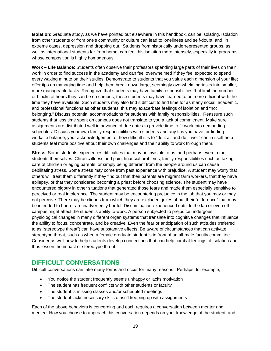**Isolation**: Graduate study, as we have pointed out elsewhere in this handbook, can be isolating. Isolation from other students or from one's community or culture can lead to loneliness and self-doubt, and, in extreme cases, depression and dropping out. Students from historically underrepresented groups, as well as international students far from home, can feel this isolation more intensely, especially in programs whose composition is highly homogenous.

**Work – Life Balance**: Students often observe their professors spending large parts of their lives on their work in order to find success in the academy and can feel overwhelmed if they feel expected to spend every waking minute on their studies. Demonstrate to students that you value each dimension of your life; offer tips on managing time and help them break down large, seemingly overwhelming tasks into smaller, more manageable tasks. Recognize that students may have family responsibilities that limit the number or blocks of hours they can be on campus; these students may have learned to be more efficient with the time they have available. Such students may also find it difficult to find time for as many social, academic, and professional functions as other students; this may exacerbate feelings of isolation and "not belonging." Discuss potential accommodations for students with family responsibilities. Reassure such students that less time spent on campus does not translate to you a lack of commitment. Make sure assignments are distributed well in advance of due dates to provide time to fit work into demanding schedules. Discuss your own family responsibilities with students and any tips you have for finding work/life balance; your acknowledgement of how difficult it is to "do it all and do it well" can in itself help students feel more positive about their own challenges and their ability to work through them.

**Stress**: Some students experiences difficulties that may be invisible to us, and perhaps even to the students themselves. Chronic illness and pain, financial problems, family responsibilities such as taking care of children or aging parents, or simply being different from the people around us can cause debilitating stress. Some stress may come from past experience with prejudice. A student may worry that others will treat them differently if they find out that their parents are migrant farm workers, that they have epilepsy, or that they considered becoming a priest before choosing science. The student may have encountered bigotry in other situations that generated those fears and made them especially sensitive to perceived or real intolerance. The student may be encountering prejudice in the lab that you may or may not perceive. There may be cliques from which they are excluded, jokes about their "difference" that may be intended to hurt or are inadvertently hurtful. Discrimination experienced outside the lab or even offcampus might affect the student's ability to work. A person subjected to prejudice undergoes physiological changes in many different organ systems that translate into cognitive changes that influence the ability to focus, concentrate, and be creative. Even the fear or anticipation of such attitudes (referred to as "stereotype threat") can have substantive effects. Be aware of circumstances that can activate stereotype threat, such as when a female graduate student is in front of an all-male faculty committee. Consider as well how to help students develop connections that can help combat feelings of isolation and thus lessen the impact of stereotype threat.

# <span id="page-18-0"></span>**DIFFICULT CONVERSATIONS**

Difficult conversations can take many forms and occur for many reasons. Perhaps, for example,

- You notice the student frequently seems unhappy or lacks motivation
- The student has frequent conflicts with other students or faculty
- The student is missing classes and/or scheduled meetings
- The student lacks necessary skills or isn't keeping up with assignments

Each of the above behaviors is concerning and each requires a conversation between mentor and mentee. How you choose to approach this conversation depends on your knowledge of the student, and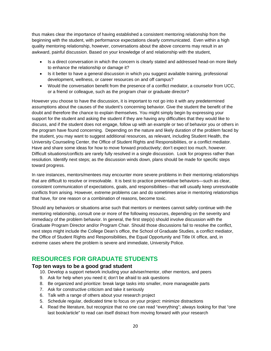thus makes clear the importance of having established a consistent mentoring relationship from the beginning with the student, with performance expectations clearly communicated. Even within a high quality mentoring relationship, however, conversations about the above concerns may result in an awkward, painful discussion. Based on your knowledge of and relationship with the student,

- Is a direct conversation in which the concern is clearly stated and addressed head-on more likely to enhance the relationship or damage it?
- Is it better to have a general discussion in which you suggest available training, professional development, wellness, or career resources on and off campus?
- Would the conversation benefit from the presence of a conflict mediator, a counselor from UCC, or a friend or colleague, such as the program chair or graduate director?

However you choose to have the discussion, it is important to not go into it with any predetermined assumptions about the causes of the student's concerning behavior. Give the student the benefit of the doubt and therefore the chance to explain themselves. You might simply begin by expressing your support for the student and asking the student if they are having any difficulties that they would like to discuss, and if the student does not engage, follow up with an example or two of behavior you or others in the program have found concerning. Depending on the nature and likely duration of the problem faced by the student, you may want to suggest additional resources, as relevant, including Student Health, the University Counseling Center, the Office of Student Rights and Responsibilities, or a conflict mediator. Have and share some ideas for how to move forward productively; don't expect too much, however. Difficult situations/conflicts are rarely fully resolved in a single discussion. Look for progress rather than resolution. Identify next steps; as the discussion winds down, plans should be made for specific steps toward progress.

In rare instances, mentors/mentees may encounter more severe problems in their mentoring relationships that are difficult to resolve or irresolvable. It is best to practice preventative behaviors—such as clear, consistent communication of expectations, goals, and responsibilities—that will usually keep unresolvable conflicts from arising. However, extreme problems can and do sometimes arise in mentoring relationships that have, for one reason or a combination of reasons, become toxic.

Should any behaviors or situations arise such that mentors or mentees cannot safely continue with the mentoring relationship, consult one or more of the following resources, depending on the severity and immediacy of the problem behavior. In general, the first step(s) should involve discussion with the Graduate Program Director and/or Program Chair. Should those discussions fail to resolve the conflict, next steps might include the College Dean's office, the School of Graduate Studies, a conflict mediator, the Office of Student Rights and Responsibilities, the Equal Opportunity and Title IX office, and, in extreme cases where the problem is severe and immediate, University Police.

# <span id="page-19-0"></span>**RESOURCES FOR GRADUATE STUDENTS**

# **Top ten ways to be a good grad student**

10. Develop a support network including your adviser/mentor, other mentors, and peers

- 9. Ask for help when you need it; don't be afraid to ask questions
- 8. Be organized and prioritize: break large tasks into smaller, more manageable parts
- 7. Ask for constructive criticism and take it seriously
- 6. Talk with a range of others about your research project
- 5. Schedule regular, dedicated time to focus on your project: minimize distractions
- 4. Read the literature, but recognize that no one can read "everything"; always looking for that "one last book/article" to read can itself distract from moving forward with your research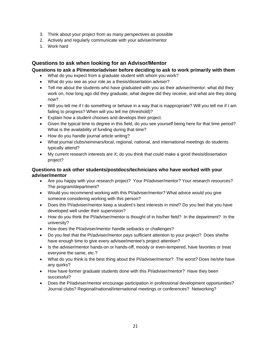- 3. Think about your project from as many perspectives as possible
- 2. Actively and regularly communicate with your adviser/mentor
- 1. Work hard

### **Questions to ask when looking for an Advisor/Mentor**

**Questions to ask a PI/mentor/adviser before deciding to ask to work primarily with them**

- What do you expect from a graduate student with whom you work?
- What do you see as your role as a thesis/dissertation adviser?
- Tell me about the students who have graduated with you as their adviser/mentor: what did they work on, how long ago did they graduate, what degree did they receive, and what are they doing now?
- Will you tell me if I do something or behave in a way that is inappropriate? Will you tell me if I am failing to progress? When will you tell me (threshold)?
- Explain how a student chooses and develops their project.
- Given the typical time to degree in this field, do you see yourself being here for that time period? What is the availability of funding during that time?
- How do you handle journal article writing?
- What journal clubs/seminars/local, regional, national, and international meetings do students typically attend?
- My current research interests are X; do you think that could make a good thesis/dissertation project?

#### **Questions to ask other students/postdocs/technicians who have worked with your adviser/mentor**

- Are you happy with your research project? Your Pl/adviser/mentor? Your research resources? The program/department?
- Would you recommend working with this PI/adviser/mentor? What advice would you give someone considering working with this person?
- Does this PI/adviser/mentor keep a student's best interests in mind? Do you feel that you have developed well under their supervision?
- How do you think the PI/adviser/mentor is thought of in his/her field? In the department? In the university?
- How does the PI/adviser/mentor handle setbacks or challenges?
- Do you feel that the PI/adviser/mentor pays sufficient attention to your project? Does she/he have enough time to give every advisee/mentee's project attention?
- Is the adviser/mentor hands-on or hands-off, moody or even-tempered, have favorites or treat everyone the same, etc.?
- What do you think is the best thing about the PI/adviser/mentor? The worst? Does he/she have any quirks?
- How have former graduate students done with this PI/adviser/mentor? Have they been successful?
- Does the PI/adviser/mentor encourage participation in professional development opportunities? Journal clubs? Regional/national/international meetings or conferences? Networking?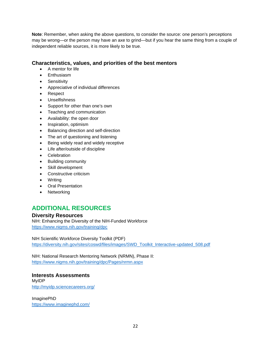**Note**: Remember, when asking the above questions, to consider the source: one person's perceptions may be wrong—or the person may have an axe to grind—but if you hear the same thing from a couple of independent reliable sources, it is more likely to be true.

# **Characteristics, values, and priorities of the best mentors**

- A mentor for life
- **Enthusiasm**
- Sensitivity
- Appreciative of individual differences
- Respect
- Unselfishness
- Support for other than one's own
- Teaching and communication
- Availability: the open door
- Inspiration, optimism
- Balancing direction and self-direction
- The art of questioning and listening
- Being widely read and widely receptive
- Life after/outside of discipline
- Celebration
- Building community
- Skill development
- Constructive criticism
- Writing
- Oral Presentation
- Networking

# <span id="page-21-0"></span>**ADDITIONAL RESOURCES**

**Diversity Resources**

NIH: Enhancing the Diversity of the NIH-Funded Workforce <https://www.nigms.nih.gov/training/dpc>

NIH Scientific Workforce Diversity Toolkit (PDF) [https://diversity.nih.gov/sites/coswd/files/images/SWD\\_Toolkit\\_Interactive-updated\\_508.pdf](https://diversity.nih.gov/sites/coswd/files/images/SWD_Toolkit_Interactive-updated_508.pdf)

NIH: National Research Mentoring Network (NRMN), Phase II: <https://www.nigms.nih.gov/training/dpc/Pages/nrmn.aspx>

**Interests Assessments** MyIDP <http://myidp.sciencecareers.org/>

ImaginePhD <https://www.imaginephd.com/>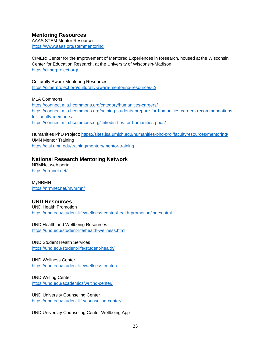## **Mentoring Resources**

AAAS STEM Mentor Resources <https://www.aaas.org/stemmentoring>

CIMER: Center for the Improvement of Mentored Experiences in Research, housed at the Wisconsin Center for Education Research, at the University of Wisconsin-Madison <https://cimerproject.org/>

Culturally Aware Mentoring Resources <https://cimerproject.org/culturally-aware-mentoring-resources-2/>

MLA Commons <https://connect.mla.hcommons.org/category/humanities-careers/> [https://connect.mla.hcommons.org/helping-students-prepare-for-humanities-careers-recommendations](https://connect.mla.hcommons.org/helping-students-prepare-for-humanities-careers-recommendations-for-faculty-members/)[for-faculty-members/](https://connect.mla.hcommons.org/helping-students-prepare-for-humanities-careers-recommendations-for-faculty-members/) <https://connect.mla.hcommons.org/linkedin-tips-for-humanities-phds/>

Humanities PhD Project:<https://sites.lsa.umich.edu/humanities-phd-proj/facultyresources/mentoring/> UMN Mentor Training <https://ctsi.umn.edu/training/mentors/mentor-training>

#### **National Research Mentoring Network**

NRMNet web portal <https://nrmnet.net/>

MyNRMN <https://nrmnet.net/mynrmn/>

#### **UND Resources**

UND Health Promotion <https://und.edu/student-life/wellness-center/health-promotion/index.html>

UND Health and Wellbeing Resources <https://und.edu/student-life/health-wellness.html>

UND Student Health Services <https://und.edu/student-life/student-health/>

UND Wellness Center <https://und.edu/student-life/wellness-center/>

UND Writing Center <https://und.edu/academics/writing-center/>

UND University Counseling Center <https://und.edu/student-life/counseling-center/>

UND University Counseling Center Wellbeing App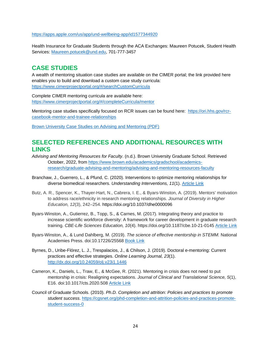<https://apps.apple.com/us/app/und-wellbeing-app/id1577344920>

Health Insurance for Graduate Students through the ACA Exchanges: Maureen Potucek, Student Health Services: [Maureen.potucek@und.edu,](mailto:Maureen.potucek@und.edu) 701-777-3457

# <span id="page-23-0"></span>**CASE STUDIES**

A wealth of mentoring situation case studies are available on the CIMER portal; the link provided here enables you to build and download a custom case study curricula: <https://www.cimerprojectportal.org/#/searchCustomCurricula>

Complete CIMER mentoring curricula are available here: <https://www.cimerprojectportal.org/#/completeCurricula/mentor>

Mentoring case studies specifically focused on RCR issues can be found here: [https://ori.hhs.gov/rcr](https://ori.hhs.gov/rcr-casebook-mentor-and-trainee-relationships)[casebook-mentor-and-trainee-relationships](https://ori.hhs.gov/rcr-casebook-mentor-and-trainee-relationships)

[Brown University Case Studies on Advising and Mentoring \(PDF\)](https://www.google.com/url?sa=t&rct=j&q=&esrc=s&source=web&cd=&cad=rja&uact=8&ved=2ahUKEwiBuLGRzL70AhVMOs0KHW-WB7cQFnoECAQQAQ&url=https%3A%2F%2Fwww.brown.edu%2Facademics%2Fgradschool%2Fsites%2Fbrown.edu.academics.gradschool%2Ffiles%2Fuploads%2FCase%2520Studies%2520For%2520Mentoring%252010-20-2017.pdf&usg=AOvVaw0twyuAVho1xVpJOZ-_6d8J)

# <span id="page-23-1"></span>**SELECTED REFERENCES AND ADDITIONAL RESOURCES WITH LINKS**

- *Advising and Mentoring Resources for Faculty*. (n.d.). Brown University Graduate School. Retrieved October, 2022, from [https://www.brown.edu/academics/gradschool/academics](https://www.brown.edu/academics/gradschool/academics-research/graduate-advising-and-mentoring/advising-and-mentoring-resources-faculty)[research/graduate-advising-and-mentoring/advising-and-mentoring-resources-faculty](https://www.brown.edu/academics/gradschool/academics-research/graduate-advising-and-mentoring/advising-and-mentoring-resources-faculty)
- Branchaw, J., Guerrero, L., & Pfund, C. (2020). Interventions to optimize mentoring relationships for diverse biomedical researchers. *Understanding Interventions, 11*(1). [Article Link](https://www.understandinginterventionsjournal.org/article/12479-interventions-to-optimize-mentoring-relationships-for-diverse-biomedical-researchers)
- Butz, A. R., Spencer, K., Thayer-Hart, N., Cabrera, I. E., & Byars-Winston, A. (2019). Mentors' motivation to address race/ethnicity in research mentoring relationships. *Journal of Diversity in Higher Education, 12*(3), 242–254. https://doi.org/10.1037/dhe0000096
- Byars-Winston, A., Gutierrez, B., Topp, S., & Carnes, M. (2017). Integrating theory and practice to increase scientific workforce diversity: A framework for career development in graduate research training. *CBE-Life Sciences Education, 10*(4). https://doi.org/10.1187/cbe.10-21-0145 [Article Link](https://www.lifescied.org/doi/full/10.1187/cbe.10-12-0145)
- Byars-Winston, A., & Lund Dahlberg, M. (2019). *The science of effective mentorship in STEMM.* National Academies Press. doi:10.17226/25568 [Book Link](https://www.nap.edu/catalog/25568/the-science-of-effective-mentorship-in-stemm)
- Byrnes, D., Uribe-Flórez, L. J., Trespalacios, J., & Chilson, J. (2019). Doctoral e-mentoring: Current practices and effective strategies. *Online Learning Journal, 23*(1). <http://dx.doi.org/10.24059/olj.v23i1.1446>
- Cameron, K., Daniels, L., Traw, E., & McGee, R. (2021). Mentoring in crisis does not need to put mentorship in crisis: Realigning expectations. *Journal of Clinical and Translational Science, 5*(1), E16. doi:10.1017/cts.2020.508 [Article Link](https://www.cambridge.org/core/journals/journal-of-clinical-and-translational-science/article/mentoring-in-crisis-does-not-need-to-put-mentorship-in-crisis-realigning-expectations/564B397E61CA05A60EA0FAE4CCEFC639)
- Council of Graduate Schools. (2010). *Ph.D. Completion and attrition: Policies and practices to promote student success*. [https://cgsnet.org/phd-completion-and-attrition-policies-and-practices-promote](https://cgsnet.org/phd-completion-and-attrition-policies-and-practices-promote-student-success-0)[student-success-0](https://cgsnet.org/phd-completion-and-attrition-policies-and-practices-promote-student-success-0)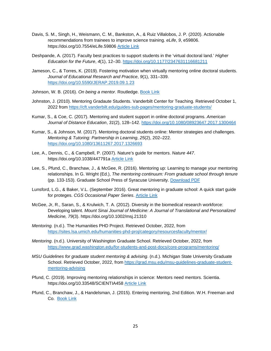- Davis, S. M., Singh, H., Weismann, C. M., Bankston, A., & Ruiz Villalobos, J. P. (2020). Actionable recommendations from trainees to improve science training. *eLife*, *9*, e59806. https://doi.org/10.7554/eLife.59806 [Article Link](https://www.ncbi.nlm.nih.gov/pmc/articles/PMC7413740/)
- Deshpande, A. (2017). Faculty best practices to support students in the 'virtual doctoral land.' *Higher Education for the Future*, *4*(1), 12–30.<https://doi.org/10.1177/2347631116681211>
- Jameson, C., & Torres, K. (2019). Fostering motivation when virtually mentoring online doctoral students. *Journal of Educational Research and Practice*, *9*(1), 331–339. <https://doi.org/10.5590/JERAP.2019.09.1.23>
- Johnson, W. B. (2016). *On being a mentor*. Routledge. [Book Link](https://www.routledge.com/On-Being-a-Mentor-A-Guide-for-Higher-Education-Faculty-Second-Edition/Johnson/p/book/9781138892279)
- Johnston, J. (2010). Mentoring Gradaute Students. Vanderbilt Center for Teaching. Retrieved October 1, 2022 from<https://cft.vanderbilt.edu/guides-sub-pages/mentoring-graduate-students/>
- Kumar, S., & Coe, C. (2017). Mentoring and student support in online doctoral programs. *American Journal of Distance Education*, *31*(2), 128–142.<https://doi.org/10.1080/08923647.2017.1300464>
- Kumar, S., & Johnson, M. (2017). Mentoring doctoral students online: Mentor strategies and challenges. *Mentoring & Tutoring: Partnership in Learning*, *25*(2), 202–222. <https://doi.org/10.1080/13611267.2017.1326693>
- Lee, A., Dennis, C., & Campbell, P. (2007). Nature's guide for mentors. *Nature 447*. https://doi.org/10.1038/447791a [Article Link](https://www.nature.com/articles/447791a)
- Lee, S., Pfund, C., Branchaw, J., & McGee, R. (2016). Mentoring up: Learning to manage your mentoring relationships. In G. Wright (Ed.), *The mentoring continuum: From graduate school through tenure* (pp. 133-153). Graduate School Press of Syracuse University. [Download PDF](https://www.researchgate.net/profile/Henarath_Opatha/post/what_are_the_impact_of_mentor-mentee_relationship_on_academic_outcome_and_professional_success/attachment/5a842097b53d2f0bba51d851/AS%3A593901396176897%401518608535139/download/mentoring+up.pdf)
- Lunsford, L.G., & Baker, V.L. (September 2016). Great mentoring in graduate school: A quick start guide for proteges. *CGS Occasional Paper Series*. [Article Link](https://cgsnet.org/ckfinder/userfiles/files/CGS_OPS_Mentoring2016.pdf)
- McGee, Jr, R., Saran, S., & Krulwich, T. A. (2012). Diversity in the biomedical research workforce: Developing talent. *Mount Sinai Journal of Medicine: A Journal of Translational and Personalized Medicine, 79*(3). https://doi.org/10.1002/msj.21310
- *Mentoring.* (n.d.). The Humanities PHD Project. Retrieved October, 2022, from <https://sites.lsa.umich.edu/humanities-phd-proj/category/resourcesfaculty/mentor/>
- *Mentoring*. (n.d.). University of Washington Graduate School. Retrieved October, 2022, from <https://www.grad.washington.edu/for-students-and-post-docs/core-programs/mentoring/>
- *MSU Guidelines for graduate student mentoring & advising*. (n.d.). Michigan State University Graduate School. Retrieved October, 2022, from [https://grad.msu.edu/msu-guidelines-graduate-student](https://grad.msu.edu/msu-guidelines-graduate-student-mentoring-advising)[mentoring-advising](https://grad.msu.edu/msu-guidelines-graduate-student-mentoring-advising)
- Pfund, C. (2019). Improving mentoring relationships in science: Mentors need mentors. Scientia. https://doi.org/10.33548/SCIENTIA458 [Article Link](https://www.scientia.global/dr-christine-pfund-improving-mentoring-relationships-in-science-mentors-need-mentors/)
- Pfund, C., Branchaw, J., & Handelsman, J. (2015). Entering mentoring, 2nd Edition. W.H. Freeman and Co. [Book Link](https://www.macmillanlearning.com/college/us/product/Entering-Mentoring/p/1464184909?selected_tab=About)